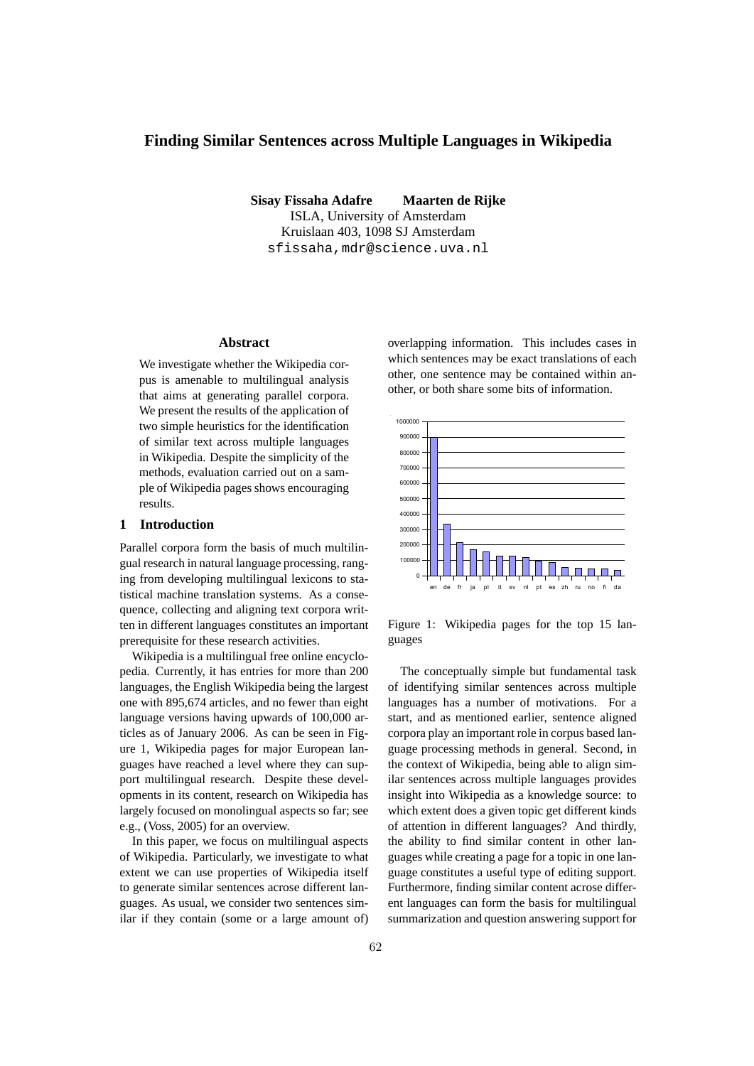# **Finding Similar Sentences across Multiple Languages in Wikipedia**

**Sisay Fissaha Adafre Maarten de Rijke** ISLA, University of Amsterdam Kruislaan 403, 1098 SJ Amsterdam sfissaha,mdr@science.uva.nl

# **Abstract**

We investigate whether the Wikipedia corpus is amenable to multilingual analysis that aims at generating parallel corpora. We present the results of the application of two simple heuristics for the identification of similar text across multiple languages in Wikipedia. Despite the simplicity of the methods, evaluation carried out on a sample of Wikipedia pages shows encouraging results.

#### **1 Introduction**

Parallel corpora form the basis of much multilingual research in natural language processing, ranging from developing multilingual lexicons to statistical machine translation systems. As a consequence, collecting and aligning text corpora written in different languages constitutes an important prerequisite for these research activities.

Wikipedia is a multilingual free online encyclopedia. Currently, it has entries for more than 200 languages, the English Wikipedia being the largest one with 895,674 articles, and no fewer than eight language versions having upwards of 100,000 articles as of January 2006. As can be seen in Figure 1, Wikipedia pages for major European languages have reached a level where they can support multilingual research. Despite these developments in its content, research on Wikipedia has largely focused on monolingual aspects so far; see e.g., (Voss, 2005) for an overview.

In this paper, we focus on multilingual aspects of Wikipedia. Particularly, we investigate to what extent we can use properties of Wikipedia itself to generate similar sentences acrose different languages. As usual, we consider two sentences similar if they contain (some or a large amount of) overlapping information. This includes cases in which sentences may be exact translations of each other, one sentence may be contained within another, or both share some bits of information.



Figure 1: Wikipedia pages for the top 15 languages

The conceptually simple but fundamental task of identifying similar sentences across multiple languages has a number of motivations. For a start, and as mentioned earlier, sentence aligned corpora play an important role in corpus based language processing methods in general. Second, in the context of Wikipedia, being able to align similar sentences across multiple languages provides insight into Wikipedia as a knowledge source: to which extent does a given topic get different kinds of attention in different languages? And thirdly, the ability to find similar content in other languages while creating a page for a topic in one language constitutes a useful type of editing support. Furthermore, finding similar content acrose different languages can form the basis for multilingual summarization and question answering support for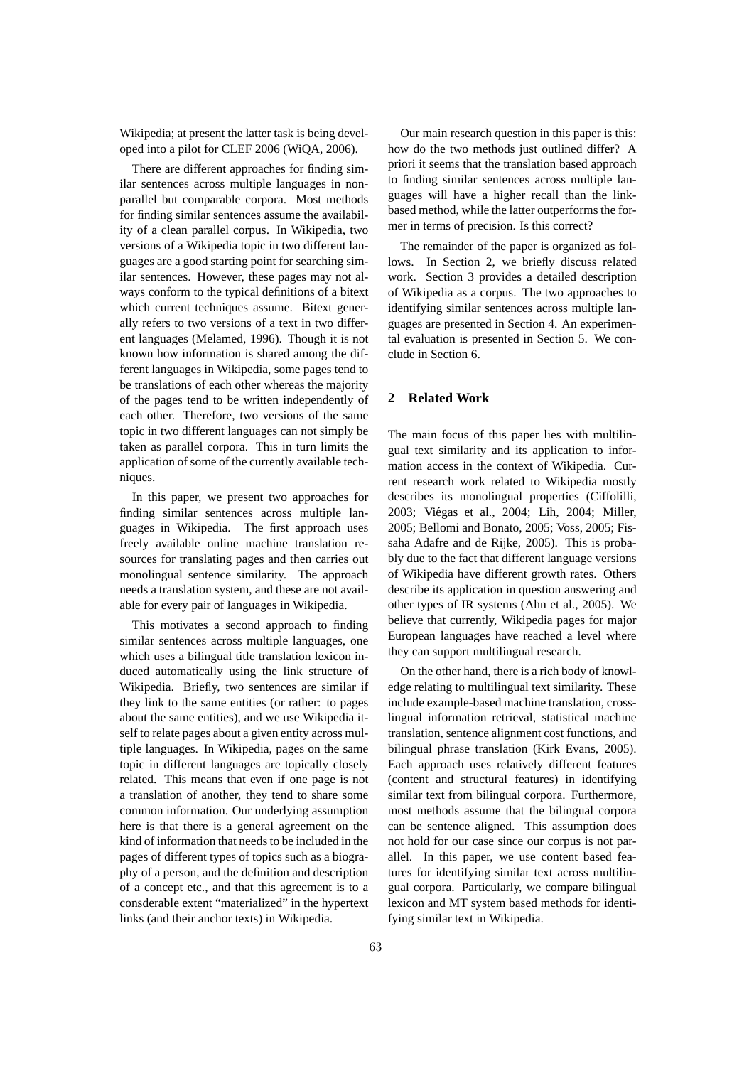Wikipedia; at present the latter task is being developed into a pilot for CLEF 2006 (WiQA, 2006).

There are different approaches for finding similar sentences across multiple languages in nonparallel but comparable corpora. Most methods for finding similar sentences assume the availability of a clean parallel corpus. In Wikipedia, two versions of a Wikipedia topic in two different languages are a good starting point for searching similar sentences. However, these pages may not always conform to the typical definitions of a bitext which current techniques assume. Bitext generally refers to two versions of a text in two different languages (Melamed, 1996). Though it is not known how information is shared among the different languages in Wikipedia, some pages tend to be translations of each other whereas the majority of the pages tend to be written independently of each other. Therefore, two versions of the same topic in two different languages can not simply be taken as parallel corpora. This in turn limits the application of some of the currently available techniques.

In this paper, we present two approaches for finding similar sentences across multiple languages in Wikipedia. The first approach uses freely available online machine translation resources for translating pages and then carries out monolingual sentence similarity. The approach needs a translation system, and these are not available for every pair of languages in Wikipedia.

This motivates a second approach to finding similar sentences across multiple languages, one which uses a bilingual title translation lexicon induced automatically using the link structure of Wikipedia. Briefly, two sentences are similar if they link to the same entities (or rather: to pages about the same entities), and we use Wikipedia itself to relate pages about a given entity across multiple languages. In Wikipedia, pages on the same topic in different languages are topically closely related. This means that even if one page is not a translation of another, they tend to share some common information. Our underlying assumption here is that there is a general agreement on the kind of information that needs to be included in the pages of different types of topics such as a biography of a person, and the definition and description of a concept etc., and that this agreement is to a consderable extent "materialized" in the hypertext links (and their anchor texts) in Wikipedia.

Our main research question in this paper is this: how do the two methods just outlined differ? A priori it seems that the translation based approach to finding similar sentences across multiple languages will have a higher recall than the linkbased method, while the latter outperforms the former in terms of precision. Is this correct?

The remainder of the paper is organized as follows. In Section 2, we briefly discuss related work. Section 3 provides a detailed description of Wikipedia as a corpus. The two approaches to identifying similar sentences across multiple languages are presented in Section 4. An experimental evaluation is presented in Section 5. We conclude in Section 6.

# **2 Related Work**

The main focus of this paper lies with multilingual text similarity and its application to information access in the context of Wikipedia. Current research work related to Wikipedia mostly describes its monolingual properties (Ciffolilli, 2003; Viegas et al., 2004; Lih, 2004; Miller, ´ 2005; Bellomi and Bonato, 2005; Voss, 2005; Fissaha Adafre and de Rijke, 2005). This is probably due to the fact that different language versions of Wikipedia have different growth rates. Others describe its application in question answering and other types of IR systems (Ahn et al., 2005). We believe that currently, Wikipedia pages for major European languages have reached a level where they can support multilingual research.

On the other hand, there is a rich body of knowledge relating to multilingual text similarity. These include example-based machine translation, crosslingual information retrieval, statistical machine translation, sentence alignment cost functions, and bilingual phrase translation (Kirk Evans, 2005). Each approach uses relatively different features (content and structural features) in identifying similar text from bilingual corpora. Furthermore, most methods assume that the bilingual corpora can be sentence aligned. This assumption does not hold for our case since our corpus is not parallel. In this paper, we use content based features for identifying similar text across multilingual corpora. Particularly, we compare bilingual lexicon and MT system based methods for identifying similar text in Wikipedia.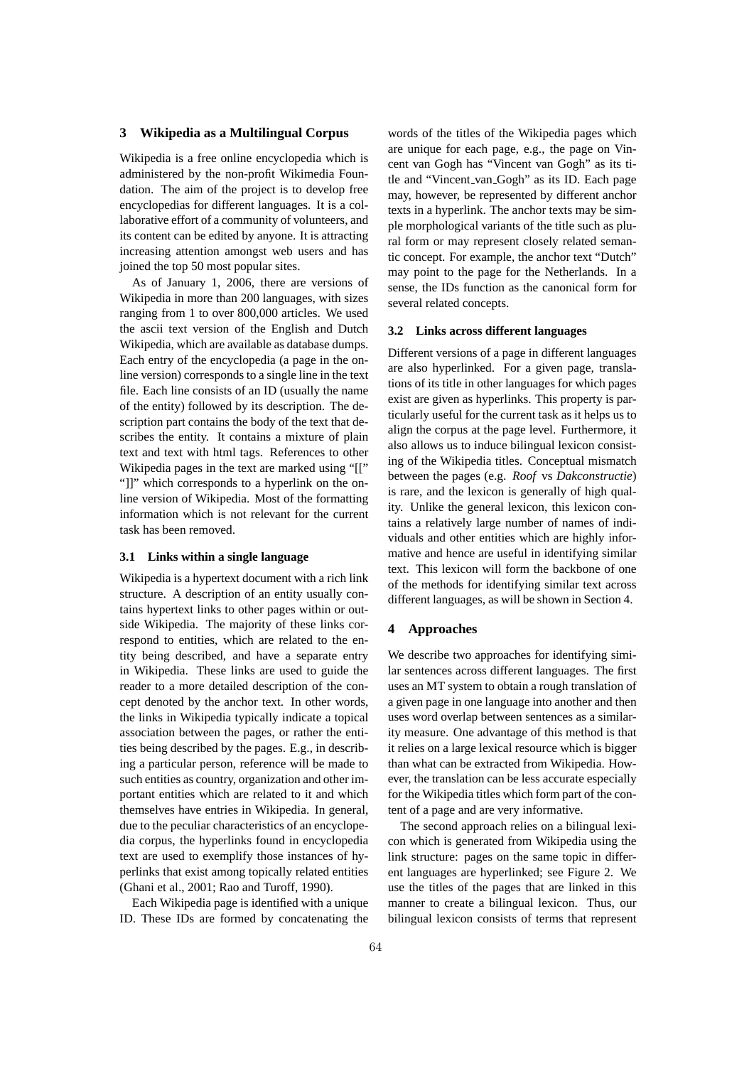# **3 Wikipedia as a Multilingual Corpus**

Wikipedia is a free online encyclopedia which is administered by the non-profit Wikimedia Foundation. The aim of the project is to develop free encyclopedias for different languages. It is a collaborative effort of a community of volunteers, and its content can be edited by anyone. It is attracting increasing attention amongst web users and has joined the top 50 most popular sites.

As of January 1, 2006, there are versions of Wikipedia in more than 200 languages, with sizes ranging from 1 to over 800,000 articles. We used the ascii text version of the English and Dutch Wikipedia, which are available as database dumps. Each entry of the encyclopedia (a page in the online version) corresponds to a single line in the text file. Each line consists of an ID (usually the name of the entity) followed by its description. The description part contains the body of the text that describes the entity. It contains a mixture of plain text and text with html tags. References to other Wikipedia pages in the text are marked using "[[" "]]" which corresponds to a hyperlink on the online version of Wikipedia. Most of the formatting information which is not relevant for the current task has been removed.

#### **3.1 Links within a single language**

Wikipedia is a hypertext document with a rich link structure. A description of an entity usually contains hypertext links to other pages within or outside Wikipedia. The majority of these links correspond to entities, which are related to the entity being described, and have a separate entry in Wikipedia. These links are used to guide the reader to a more detailed description of the concept denoted by the anchor text. In other words, the links in Wikipedia typically indicate a topical association between the pages, or rather the entities being described by the pages. E.g., in describing a particular person, reference will be made to such entities as country, organization and other important entities which are related to it and which themselves have entries in Wikipedia. In general, due to the peculiar characteristics of an encyclopedia corpus, the hyperlinks found in encyclopedia text are used to exemplify those instances of hyperlinks that exist among topically related entities (Ghani et al., 2001; Rao and Turoff, 1990).

Each Wikipedia page is identified with a unique ID. These IDs are formed by concatenating the words of the titles of the Wikipedia pages which are unique for each page, e.g., the page on Vincent van Gogh has "Vincent van Gogh" as its title and "Vincent van Gogh" as its ID. Each page may, however, be represented by different anchor texts in a hyperlink. The anchor texts may be simple morphological variants of the title such as plural form or may represent closely related semantic concept. For example, the anchor text "Dutch" may point to the page for the Netherlands. In a sense, the IDs function as the canonical form for several related concepts.

#### **3.2 Links across different languages**

Different versions of a page in different languages are also hyperlinked. For a given page, translations of its title in other languages for which pages exist are given as hyperlinks. This property is particularly useful for the current task as it helps us to align the corpus at the page level. Furthermore, it also allows us to induce bilingual lexicon consisting of the Wikipedia titles. Conceptual mismatch between the pages (e.g. *Roof* vs *Dakconstructie*) is rare, and the lexicon is generally of high quality. Unlike the general lexicon, this lexicon contains a relatively large number of names of individuals and other entities which are highly informative and hence are useful in identifying similar text. This lexicon will form the backbone of one of the methods for identifying similar text across different languages, as will be shown in Section 4.

#### **4 Approaches**

We describe two approaches for identifying similar sentences across different languages. The first uses an MT system to obtain a rough translation of a given page in one language into another and then uses word overlap between sentences as a similarity measure. One advantage of this method is that it relies on a large lexical resource which is bigger than what can be extracted from Wikipedia. However, the translation can be less accurate especially for the Wikipedia titles which form part of the content of a page and are very informative.

The second approach relies on a bilingual lexicon which is generated from Wikipedia using the link structure: pages on the same topic in different languages are hyperlinked; see Figure 2. We use the titles of the pages that are linked in this manner to create a bilingual lexicon. Thus, our bilingual lexicon consists of terms that represent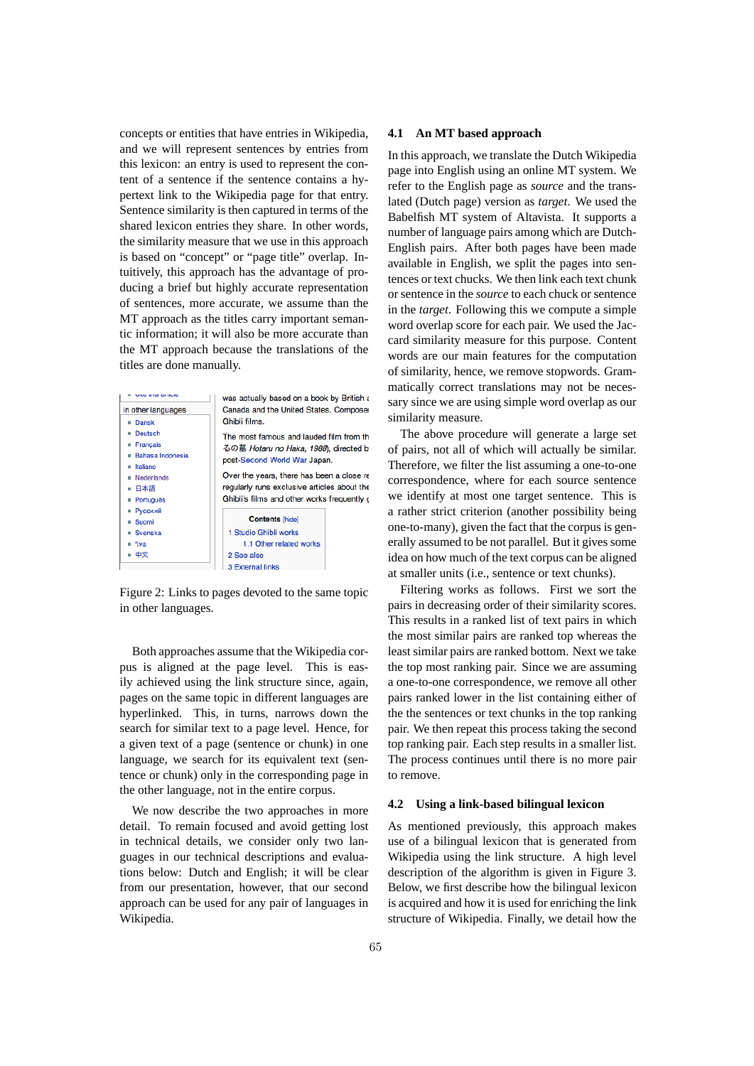concepts or entities that have entries in Wikipedia, and we will represent sentences by entries from this lexicon: an entry is used to represent the content of a sentence if the sentence contains a hypertext link to the Wikipedia page for that entry. Sentence similarity is then captured in terms of the shared lexicon entries they share. In other words, the similarity measure that we use in this approach is based on "concept" or "page title" overlap. Intuitively, this approach has the advantage of producing a brief but highly accurate representation of sentences, more accurate, we assume than the MT approach as the titles carry important semantic information; it will also be more accurate than the MT approach because the translations of the titles are done manually.

| <b>LETTER CALLINUM</b><br>in other languages<br>Dansk | was actually based on a book by British a<br>Canada and the United States. Composer<br>Ghibli films.                                                                                                                                                         |  |  |  |  |
|-------------------------------------------------------|--------------------------------------------------------------------------------------------------------------------------------------------------------------------------------------------------------------------------------------------------------------|--|--|--|--|
| Deutsch<br>Français<br>Bahasa Indonesia               | The most famous and lauded film from th<br>るの墓 Hotaru no Haka, 1988), directed b<br>post-Second World War Japan.<br>Over the years, there has been a close re<br>regularly runs exclusive articles about the<br>Ghibli's films and other works frequently of |  |  |  |  |
| Italiano<br><b>Nederlands</b><br>日本語<br>Português     |                                                                                                                                                                                                                                                              |  |  |  |  |
| Русский<br>Suomi<br><b>Svenska</b><br>≡ "\ил<br>■ 中文  | <b>Contents</b> [hide]<br>1 Studio Ghibli works<br>1.1 Other related works<br>2 See also                                                                                                                                                                     |  |  |  |  |
|                                                       | <b>3 External links</b>                                                                                                                                                                                                                                      |  |  |  |  |

Figure 2: Links to pages devoted to the same topic in other languages.

Both approaches assume that the Wikipedia corpus is aligned at the page level. This is easily achieved using the link structure since, again, pages on the same topic in different languages are hyperlinked. This, in turns, narrows down the search for similar text to a page level. Hence, for a given text of a page (sentence or chunk) in one language, we search for its equivalent text (sentence or chunk) only in the corresponding page in the other language, not in the entire corpus.

We now describe the two approaches in more detail. To remain focused and avoid getting lost in technical details, we consider only two languages in our technical descriptions and evaluations below: Dutch and English; it will be clear from our presentation, however, that our second approach can be used for any pair of languages in Wikipedia.

#### **4.1 An MT based approach**

In this approach, we translate the Dutch Wikipedia page into English using an online MT system. We refer to the English page as *source* and the translated (Dutch page) version as *target*. We used the Babelfish MT system of Altavista. It supports a number of language pairs among which are Dutch-English pairs. After both pages have been made available in English, we split the pages into sentences or text chucks. We then link each text chunk or sentence in the *source* to each chuck or sentence in the *target*. Following this we compute a simple word overlap score for each pair. We used the Jaccard similarity measure for this purpose. Content words are our main features for the computation of similarity, hence, we remove stopwords. Grammatically correct translations may not be necessary since we are using simple word overlap as our similarity measure.

The above procedure will generate a large set of pairs, not all of which will actually be similar. Therefore, we filter the list assuming a one-to-one correspondence, where for each source sentence we identify at most one target sentence. This is a rather strict criterion (another possibility being one-to-many), given the fact that the corpus is generally assumed to be not parallel. But it gives some idea on how much of the text corpus can be aligned at smaller units (i.e., sentence or text chunks).

Filtering works as follows. First we sort the pairs in decreasing order of their similarity scores. This results in a ranked list of text pairs in which the most similar pairs are ranked top whereas the least similar pairs are ranked bottom. Next we take the top most ranking pair. Since we are assuming a one-to-one correspondence, we remove all other pairs ranked lower in the list containing either of the the sentences or text chunks in the top ranking pair. We then repeat this process taking the second top ranking pair. Each step results in a smaller list. The process continues until there is no more pair to remove.

#### **4.2 Using a link-based bilingual lexicon**

As mentioned previously, this approach makes use of a bilingual lexicon that is generated from Wikipedia using the link structure. A high level description of the algorithm is given in Figure 3. Below, we first describe how the bilingual lexicon is acquired and how it is used for enriching the link structure of Wikipedia. Finally, we detail how the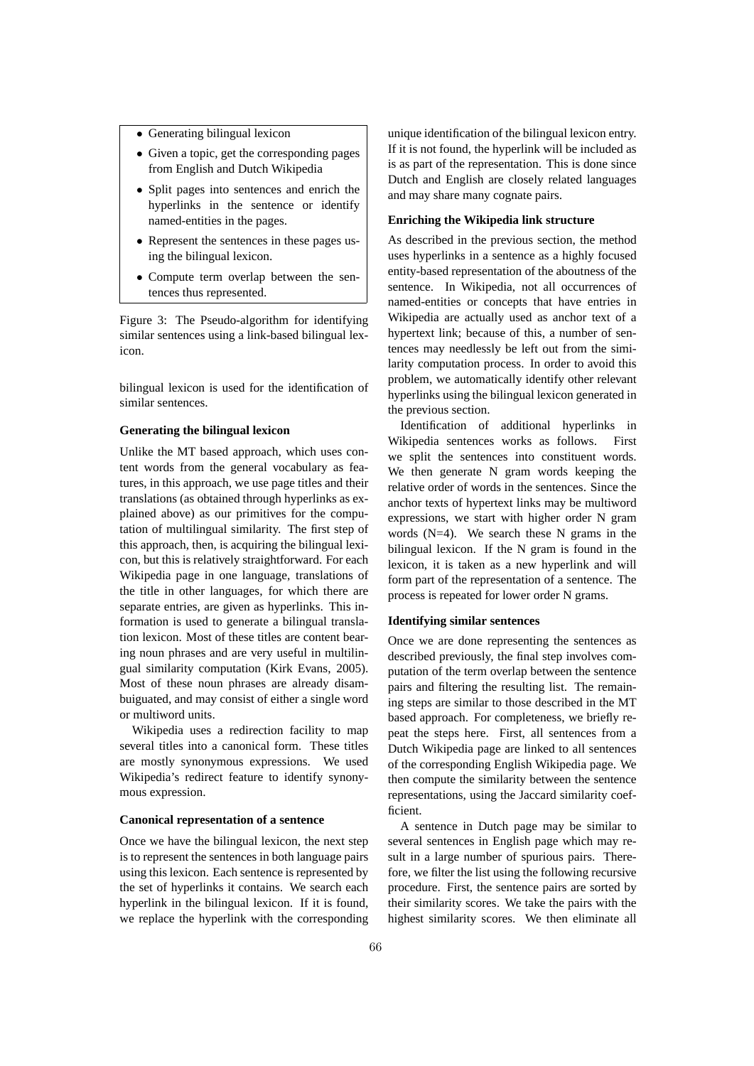- Generating bilingual lexicon
- Given a topic, get the corresponding pages from English and Dutch Wikipedia
- Split pages into sentences and enrich the hyperlinks in the sentence or identify named-entities in the pages.
- Represent the sentences in these pages using the bilingual lexicon.
- Compute term overlap between the sentences thus represented.

Figure 3: The Pseudo-algorithm for identifying similar sentences using a link-based bilingual lexicon.

bilingual lexicon is used for the identification of similar sentences.

## **Generating the bilingual lexicon**

Unlike the MT based approach, which uses content words from the general vocabulary as features, in this approach, we use page titles and their translations (as obtained through hyperlinks as explained above) as our primitives for the computation of multilingual similarity. The first step of this approach, then, is acquiring the bilingual lexicon, but this is relatively straightforward. For each Wikipedia page in one language, translations of the title in other languages, for which there are separate entries, are given as hyperlinks. This information is used to generate a bilingual translation lexicon. Most of these titles are content bearing noun phrases and are very useful in multilingual similarity computation (Kirk Evans, 2005). Most of these noun phrases are already disambuiguated, and may consist of either a single word or multiword units.

Wikipedia uses a redirection facility to map several titles into a canonical form. These titles are mostly synonymous expressions. We used Wikipedia's redirect feature to identify synonymous expression.

# **Canonical representation of a sentence**

Once we have the bilingual lexicon, the next step is to represent the sentences in both language pairs using this lexicon. Each sentence is represented by the set of hyperlinks it contains. We search each hyperlink in the bilingual lexicon. If it is found, we replace the hyperlink with the corresponding unique identification of the bilingual lexicon entry. If it is not found, the hyperlink will be included as is as part of the representation. This is done since Dutch and English are closely related languages and may share many cognate pairs.

# **Enriching the Wikipedia link structure**

As described in the previous section, the method uses hyperlinks in a sentence as a highly focused entity-based representation of the aboutness of the sentence. In Wikipedia, not all occurrences of named-entities or concepts that have entries in Wikipedia are actually used as anchor text of a hypertext link; because of this, a number of sentences may needlessly be left out from the similarity computation process. In order to avoid this problem, we automatically identify other relevant hyperlinks using the bilingual lexicon generated in the previous section.

Identification of additional hyperlinks in Wikipedia sentences works as follows. First we split the sentences into constituent words. We then generate N gram words keeping the relative order of words in the sentences. Since the anchor texts of hypertext links may be multiword expressions, we start with higher order N gram words (N=4). We search these N grams in the bilingual lexicon. If the N gram is found in the lexicon, it is taken as a new hyperlink and will form part of the representation of a sentence. The process is repeated for lower order N grams.

# **Identifying similar sentences**

Once we are done representing the sentences as described previously, the final step involves computation of the term overlap between the sentence pairs and filtering the resulting list. The remaining steps are similar to those described in the MT based approach. For completeness, we briefly repeat the steps here. First, all sentences from a Dutch Wikipedia page are linked to all sentences of the corresponding English Wikipedia page. We then compute the similarity between the sentence representations, using the Jaccard similarity coefficient.

A sentence in Dutch page may be similar to several sentences in English page which may result in a large number of spurious pairs. Therefore, we filter the list using the following recursive procedure. First, the sentence pairs are sorted by their similarity scores. We take the pairs with the highest similarity scores. We then eliminate all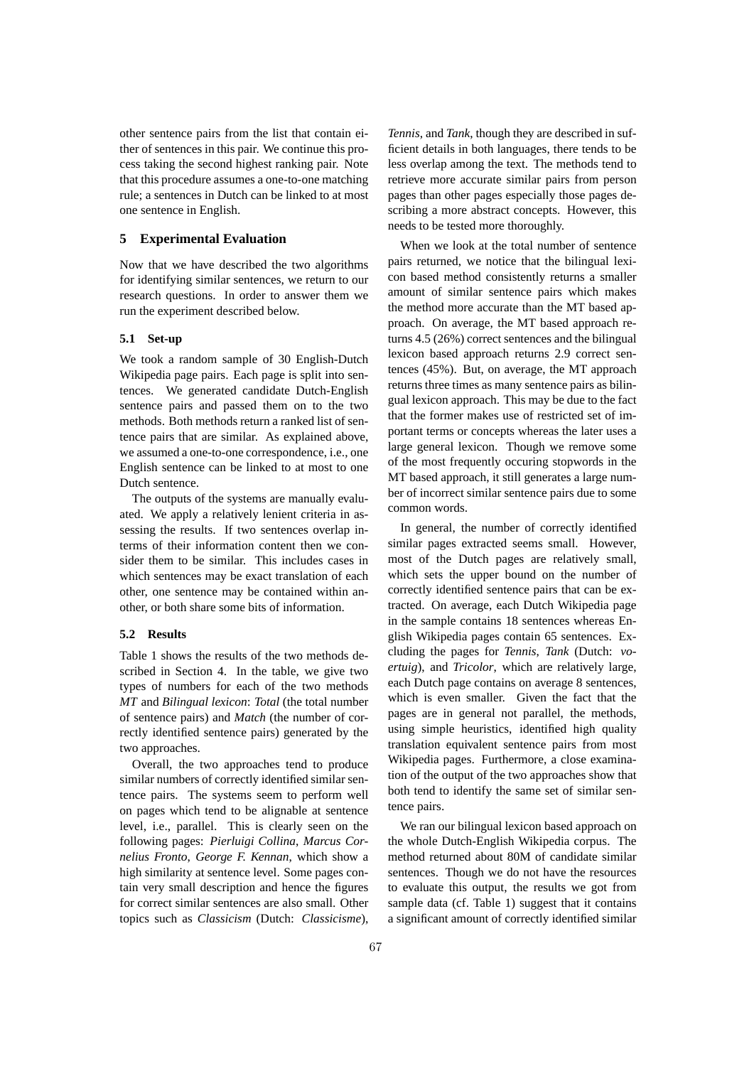other sentence pairs from the list that contain either of sentences in this pair. We continue this process taking the second highest ranking pair. Note that this procedure assumes a one-to-one matching rule; a sentences in Dutch can be linked to at most one sentence in English.

## **5 Experimental Evaluation**

Now that we have described the two algorithms for identifying similar sentences, we return to our research questions. In order to answer them we run the experiment described below.

# **5.1 Set-up**

We took a random sample of 30 English-Dutch Wikipedia page pairs. Each page is split into sentences. We generated candidate Dutch-English sentence pairs and passed them on to the two methods. Both methods return a ranked list of sentence pairs that are similar. As explained above, we assumed a one-to-one correspondence, i.e., one English sentence can be linked to at most to one Dutch sentence.

The outputs of the systems are manually evaluated. We apply a relatively lenient criteria in assessing the results. If two sentences overlap interms of their information content then we consider them to be similar. This includes cases in which sentences may be exact translation of each other, one sentence may be contained within another, or both share some bits of information.

## **5.2 Results**

Table 1 shows the results of the two methods described in Section 4. In the table, we give two types of numbers for each of the two methods *MT* and *Bilingual lexicon*: *Total* (the total number of sentence pairs) and *Match* (the number of correctly identified sentence pairs) generated by the two approaches.

Overall, the two approaches tend to produce similar numbers of correctly identified similar sentence pairs. The systems seem to perform well on pages which tend to be alignable at sentence level, i.e., parallel. This is clearly seen on the following pages: *Pierluigi Collina*, *Marcus Cornelius Fronto*, *George F. Kennan*, which show a high similarity at sentence level. Some pages contain very small description and hence the figures for correct similar sentences are also small. Other topics such as *Classicism* (Dutch: *Classicisme*),

*Tennis*, and *Tank*, though they are described in sufficient details in both languages, there tends to be less overlap among the text. The methods tend to retrieve more accurate similar pairs from person pages than other pages especially those pages describing a more abstract concepts. However, this needs to be tested more thoroughly.

When we look at the total number of sentence pairs returned, we notice that the bilingual lexicon based method consistently returns a smaller amount of similar sentence pairs which makes the method more accurate than the MT based approach. On average, the MT based approach returns 4.5 (26%) correct sentences and the bilingual lexicon based approach returns 2.9 correct sentences (45%). But, on average, the MT approach returns three times as many sentence pairs as bilingual lexicon approach. This may be due to the fact that the former makes use of restricted set of important terms or concepts whereas the later uses a large general lexicon. Though we remove some of the most frequently occuring stopwords in the MT based approach, it still generates a large number of incorrect similar sentence pairs due to some common words.

In general, the number of correctly identified similar pages extracted seems small. However, most of the Dutch pages are relatively small, which sets the upper bound on the number of correctly identified sentence pairs that can be extracted. On average, each Dutch Wikipedia page in the sample contains 18 sentences whereas English Wikipedia pages contain 65 sentences. Excluding the pages for *Tennis*, *Tank* (Dutch: *voertuig*), and *Tricolor*, which are relatively large, each Dutch page contains on average 8 sentences, which is even smaller. Given the fact that the pages are in general not parallel, the methods, using simple heuristics, identified high quality translation equivalent sentence pairs from most Wikipedia pages. Furthermore, a close examination of the output of the two approaches show that both tend to identify the same set of similar sentence pairs.

We ran our bilingual lexicon based approach on the whole Dutch-English Wikipedia corpus. The method returned about 80M of candidate similar sentences. Though we do not have the resources to evaluate this output, the results we got from sample data (cf. Table 1) suggest that it contains a significant amount of correctly identified similar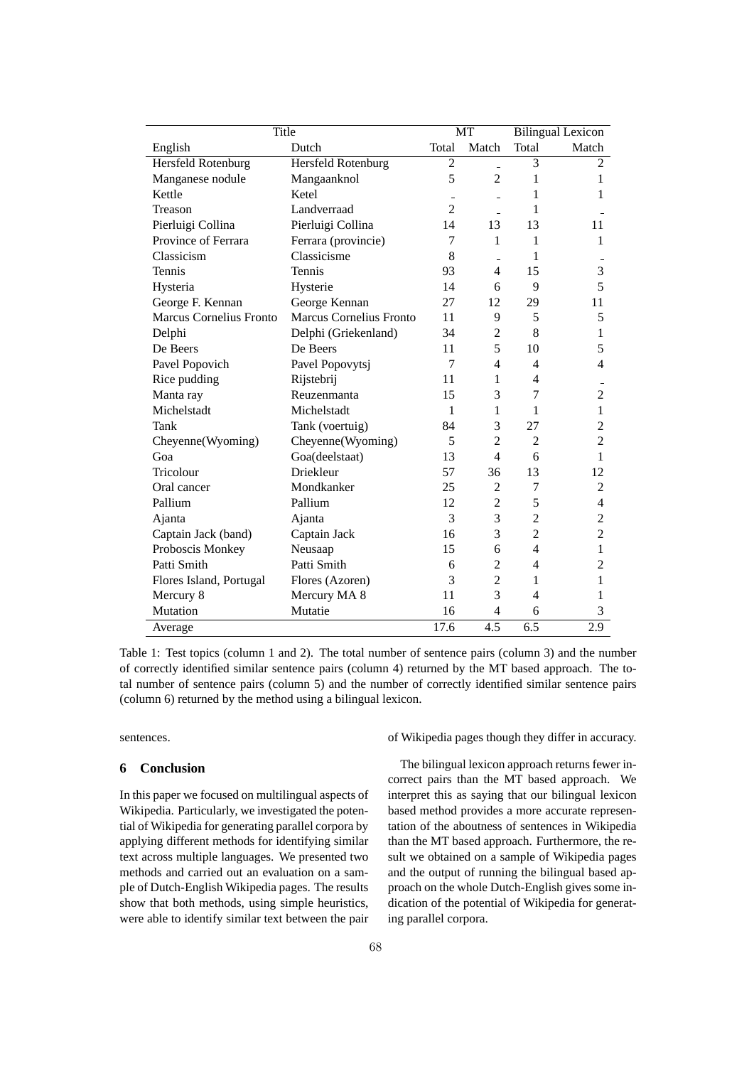| Title                          |                                | MT             |                  | <b>Bilingual Lexicon</b> |                  |
|--------------------------------|--------------------------------|----------------|------------------|--------------------------|------------------|
| English                        | Dutch                          | Total          | Match            | Total                    | Match            |
| Hersfeld Rotenburg             | Hersfeld Rotenburg             | $\overline{c}$ | $\overline{a}$   | 3                        | $\overline{c}$   |
| Manganese nodule               | Mangaanknol                    | 5              | $\overline{2}$   | 1                        | 1                |
| Kettle                         | Ketel                          |                |                  | 1                        | 1                |
| Treason                        | Landverraad                    | $\overline{c}$ |                  | 1                        |                  |
| Pierluigi Collina              | Pierluigi Collina              | 14             | 13               | 13                       | 11               |
| Province of Ferrara            | Ferrara (provincie)            | 7              | 1                | 1                        | 1                |
| Classicism                     | Classicisme                    | 8              |                  | 1                        |                  |
| Tennis                         | Tennis                         | 93             | $\overline{4}$   | 15                       | 3                |
| Hysteria                       | Hysterie                       | 14             | 6                | 9                        | 5                |
| George F. Kennan               | George Kennan                  | 27             | 12               | 29                       | 11               |
| <b>Marcus Cornelius Fronto</b> | <b>Marcus Cornelius Fronto</b> | 11             | 9                | 5                        | 5                |
| Delphi                         | Delphi (Griekenland)           | 34             | $\overline{2}$   | 8                        | 1                |
| De Beers                       | De Beers                       | 11             | 5                | 10                       | 5                |
| Pavel Popovich                 | Pavel Popovytsj                | 7              | $\overline{4}$   | $\overline{4}$           | 4                |
| Rice pudding                   | Rijstebrij                     | 11             | 1                | $\overline{4}$           |                  |
| Manta ray                      | Reuzenmanta                    | 15             | 3                | 7                        | $\overline{c}$   |
| Michelstadt                    | Michelstadt                    | 1              | 1                | 1                        | $\mathbf{1}$     |
| Tank                           | Tank (voertuig)                | 84             | 3                | 27                       | 2                |
| Cheyenne(Wyoming)              | Cheyenne(Wyoming)              | 5              | $\overline{c}$   | $\overline{2}$           | $\overline{2}$   |
| Goa                            | Goa(deelstaat)                 | 13             | $\overline{4}$   | 6                        | 1                |
| Tricolour                      | Driekleur                      | 57             | 36               | 13                       | 12               |
| Oral cancer                    | Mondkanker                     | 25             | $\overline{2}$   | 7                        | 2                |
| Pallium                        | Pallium                        | 12             | $\overline{c}$   | 5                        | $\overline{4}$   |
| Ajanta                         | Ajanta                         | 3              | 3                | $\overline{2}$           | $\overline{c}$   |
| Captain Jack (band)            | Captain Jack                   | 16             | 3                | $\overline{c}$           | $\overline{c}$   |
| Proboscis Monkey               | Neusaap                        | 15             | 6                | $\overline{4}$           | 1                |
| Patti Smith                    | Patti Smith                    | 6              | $\overline{2}$   | $\overline{4}$           | $\overline{2}$   |
| Flores Island, Portugal        | Flores (Azoren)                | 3              | $\overline{2}$   | 1                        | 1                |
| Mercury 8                      | Mercury MA 8                   | 11             | 3                | $\overline{4}$           | 1                |
| Mutation                       | Mutatie                        | 16             | $\overline{4}$   | 6                        | 3                |
| Average                        |                                | 17.6           | $\overline{4.5}$ | $\overline{6.5}$         | $\overline{2.9}$ |

Table 1: Test topics (column 1 and 2). The total number of sentence pairs (column 3) and the number of correctly identified similar sentence pairs (column 4) returned by the MT based approach. The total number of sentence pairs (column 5) and the number of correctly identified similar sentence pairs (column 6) returned by the method using a bilingual lexicon.

sentences.

# **6 Conclusion**

In this paper we focused on multilingual aspects of Wikipedia. Particularly, we investigated the potential of Wikipedia for generating parallel corpora by applying different methods for identifying similar text across multiple languages. We presented two methods and carried out an evaluation on a sample of Dutch-English Wikipedia pages. The results show that both methods, using simple heuristics, were able to identify similar text between the pair of Wikipedia pages though they differ in accuracy.

The bilingual lexicon approach returns fewer incorrect pairs than the MT based approach. We interpret this as saying that our bilingual lexicon based method provides a more accurate representation of the aboutness of sentences in Wikipedia than the MT based approach. Furthermore, the result we obtained on a sample of Wikipedia pages and the output of running the bilingual based approach on the whole Dutch-English gives some indication of the potential of Wikipedia for generating parallel corpora.